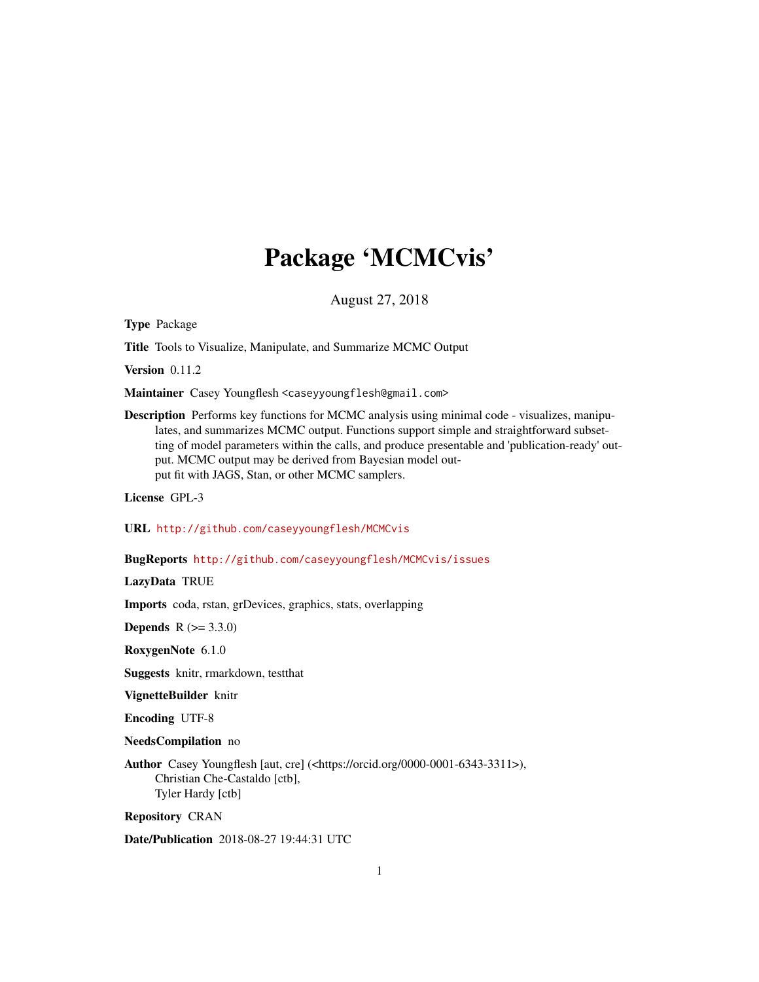# Package 'MCMCvis'

August 27, 2018

Type Package

Title Tools to Visualize, Manipulate, and Summarize MCMC Output

Version 0.11.2

Maintainer Casey Youngflesh <caseyyoungflesh@gmail.com>

Description Performs key functions for MCMC analysis using minimal code - visualizes, manipulates, and summarizes MCMC output. Functions support simple and straightforward subsetting of model parameters within the calls, and produce presentable and 'publication-ready' output. MCMC output may be derived from Bayesian model output fit with JAGS, Stan, or other MCMC samplers.

License GPL-3

URL <http://github.com/caseyyoungflesh/MCMCvis>

BugReports <http://github.com/caseyyoungflesh/MCMCvis/issues>

LazyData TRUE

Imports coda, rstan, grDevices, graphics, stats, overlapping

**Depends**  $R (= 3.3.0)$ 

RoxygenNote 6.1.0

Suggests knitr, rmarkdown, testthat

VignetteBuilder knitr

Encoding UTF-8

NeedsCompilation no

Author Casey Youngflesh [aut, cre] (<https://orcid.org/0000-0001-6343-3311>), Christian Che-Castaldo [ctb], Tyler Hardy [ctb]

Repository CRAN

Date/Publication 2018-08-27 19:44:31 UTC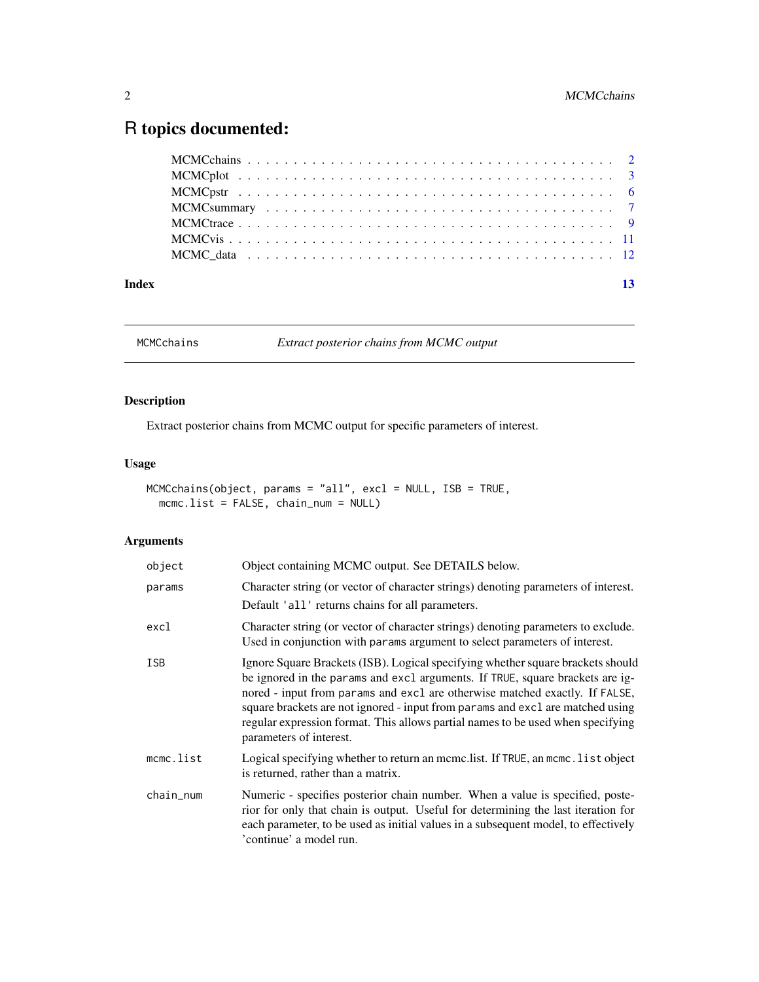## <span id="page-1-0"></span>R topics documented:

| Index |  |  |  |  |  |  |  |  |  |  |  |  |  |  |  |  | 13 |
|-------|--|--|--|--|--|--|--|--|--|--|--|--|--|--|--|--|----|

MCMCchains *Extract posterior chains from MCMC output*

#### Description

Extract posterior chains from MCMC output for specific parameters of interest.

#### Usage

```
MCMCchains(object, params = "all", excl = NULL, ISB = TRUE,
  mcmc.list = FALSE, chain_num = NULL)
```

| object     | Object containing MCMC output. See DETAILS below.                                                                                                                                                                                                                                                                                                                                                                                               |
|------------|-------------------------------------------------------------------------------------------------------------------------------------------------------------------------------------------------------------------------------------------------------------------------------------------------------------------------------------------------------------------------------------------------------------------------------------------------|
| params     | Character string (or vector of character strings) denoting parameters of interest.<br>Default 'all' returns chains for all parameters.                                                                                                                                                                                                                                                                                                          |
| excl       | Character string (or vector of character strings) denoting parameters to exclude.<br>Used in conjunction with params argument to select parameters of interest.                                                                                                                                                                                                                                                                                 |
| <b>ISB</b> | Ignore Square Brackets (ISB). Logical specifying whether square brackets should<br>be ignored in the params and excl arguments. If TRUE, square brackets are ig-<br>nored - input from params and excl are otherwise matched exactly. If FALSE,<br>square brackets are not ignored - input from params and excl are matched using<br>regular expression format. This allows partial names to be used when specifying<br>parameters of interest. |
| mcmc.list  | Logical specifying whether to return an mcmc.list. If TRUE, an mcmc.list object<br>is returned, rather than a matrix.                                                                                                                                                                                                                                                                                                                           |
| chain_num  | Numeric - specifies posterior chain number. When a value is specified, poste-<br>rior for only that chain is output. Useful for determining the last iteration for<br>each parameter, to be used as initial values in a subsequent model, to effectively<br>'continue' a model run.                                                                                                                                                             |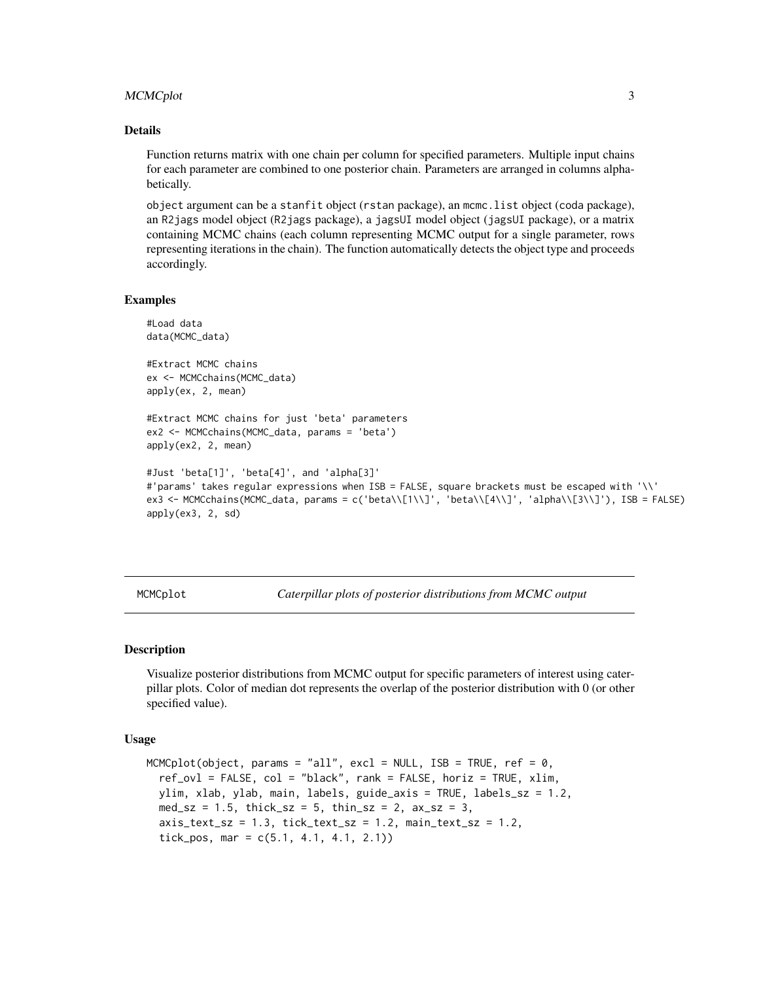#### <span id="page-2-0"></span>MCMCplot 3

#### Details

Function returns matrix with one chain per column for specified parameters. Multiple input chains for each parameter are combined to one posterior chain. Parameters are arranged in columns alphabetically.

object argument can be a stanfit object (rstan package), an mcmc.list object (coda package), an R2jags model object (R2jags package), a jagsUI model object (jagsUI package), or a matrix containing MCMC chains (each column representing MCMC output for a single parameter, rows representing iterations in the chain). The function automatically detects the object type and proceeds accordingly.

#### Examples

```
#Load data
data(MCMC_data)
#Extract MCMC chains
ex <- MCMCchains(MCMC_data)
apply(ex, 2, mean)
#Extract MCMC chains for just 'beta' parameters
ex2 <- MCMCchains(MCMC_data, params = 'beta')
apply(ex2, 2, mean)
#Just 'beta[1]', 'beta[4]', and 'alpha[3]'
#'params' takes regular expressions when ISB = FALSE, square brackets must be escaped with '\\'
ex3 <- MCMCchains(MCMC_data, params = c('beta\\[1\\]', 'beta\\[4\\]', 'alpha\\[3\\]'), ISB = FALSE)
apply(ex3, 2, sd)
```
MCMCplot *Caterpillar plots of posterior distributions from MCMC output*

#### Description

Visualize posterior distributions from MCMC output for specific parameters of interest using caterpillar plots. Color of median dot represents the overlap of the posterior distribution with 0 (or other specified value).

#### Usage

```
MCMCplot(object, params = "all", excl = NULL, ISB = TRUE, ref = 0,
  ref_ovl = FALSE, col = "black", rank = FALSE, horiz = TRUE, xlim,
 ylim, xlab, ylab, main, labels, guide_axis = TRUE, labels_sz = 1.2,
  med_sz = 1.5, thick_sz = 5, thin_sz = 2, ax_sz = 3,
  axis_test_sz = 1.3, tick_test_sz = 1.2, main_test_sz = 1.2,
  tick_pos, mar = c(5.1, 4.1, 4.1, 2.1)
```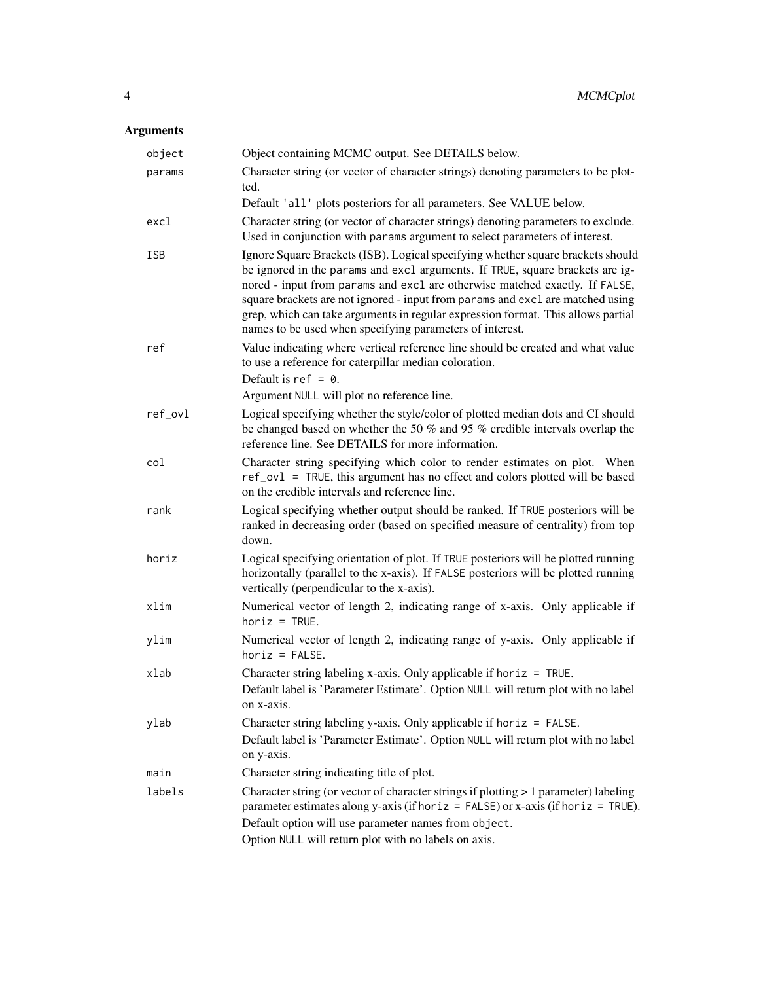| object     | Object containing MCMC output. See DETAILS below.                                                                                                                                                                                                                                                                                                                                                                                                                                 |
|------------|-----------------------------------------------------------------------------------------------------------------------------------------------------------------------------------------------------------------------------------------------------------------------------------------------------------------------------------------------------------------------------------------------------------------------------------------------------------------------------------|
| params     | Character string (or vector of character strings) denoting parameters to be plot-<br>ted.                                                                                                                                                                                                                                                                                                                                                                                         |
|            | Default 'all' plots posteriors for all parameters. See VALUE below.                                                                                                                                                                                                                                                                                                                                                                                                               |
| excl       | Character string (or vector of character strings) denoting parameters to exclude.<br>Used in conjunction with params argument to select parameters of interest.                                                                                                                                                                                                                                                                                                                   |
| <b>ISB</b> | Ignore Square Brackets (ISB). Logical specifying whether square brackets should<br>be ignored in the params and excl arguments. If TRUE, square brackets are ig-<br>nored - input from params and excl are otherwise matched exactly. If FALSE,<br>square brackets are not ignored - input from params and excl are matched using<br>grep, which can take arguments in regular expression format. This allows partial<br>names to be used when specifying parameters of interest. |
| ref        | Value indicating where vertical reference line should be created and what value<br>to use a reference for caterpillar median coloration.<br>Default is $ref = 0$ .                                                                                                                                                                                                                                                                                                                |
|            | Argument NULL will plot no reference line.                                                                                                                                                                                                                                                                                                                                                                                                                                        |
| ref_ovl    | Logical specifying whether the style/color of plotted median dots and CI should<br>be changed based on whether the 50 % and 95 % credible intervals overlap the<br>reference line. See DETAILS for more information.                                                                                                                                                                                                                                                              |
| col        | Character string specifying which color to render estimates on plot. When<br>ref_ov1 = TRUE, this argument has no effect and colors plotted will be based<br>on the credible intervals and reference line.                                                                                                                                                                                                                                                                        |
| rank       | Logical specifying whether output should be ranked. If TRUE posteriors will be<br>ranked in decreasing order (based on specified measure of centrality) from top<br>down.                                                                                                                                                                                                                                                                                                         |
| horiz      | Logical specifying orientation of plot. If TRUE posteriors will be plotted running<br>horizontally (parallel to the x-axis). If FALSE posteriors will be plotted running<br>vertically (perpendicular to the x-axis).                                                                                                                                                                                                                                                             |
| xlim       | Numerical vector of length 2, indicating range of x-axis. Only applicable if<br>$horiz = TRUE.$                                                                                                                                                                                                                                                                                                                                                                                   |
| ylim       | Numerical vector of length 2, indicating range of y-axis. Only applicable if<br>$horiz = FALSE.$                                                                                                                                                                                                                                                                                                                                                                                  |
| xlab       | Character string labeling x-axis. Only applicable if horiz = TRUE.<br>Default label is 'Parameter Estimate'. Option NULL will return plot with no label<br>on x-axis.                                                                                                                                                                                                                                                                                                             |
| ylab       | Character string labeling y-axis. Only applicable if horiz $=$ FALSE.<br>Default label is 'Parameter Estimate'. Option NULL will return plot with no label<br>on y-axis.                                                                                                                                                                                                                                                                                                          |
| main       | Character string indicating title of plot.                                                                                                                                                                                                                                                                                                                                                                                                                                        |
| labels     | Character string (or vector of character strings if plotting > 1 parameter) labeling<br>parameter estimates along y-axis (if horiz = $FALSE$ ) or x-axis (if horiz = $TRUE$ ).<br>Default option will use parameter names from object.<br>Option NULL will return plot with no labels on axis.                                                                                                                                                                                    |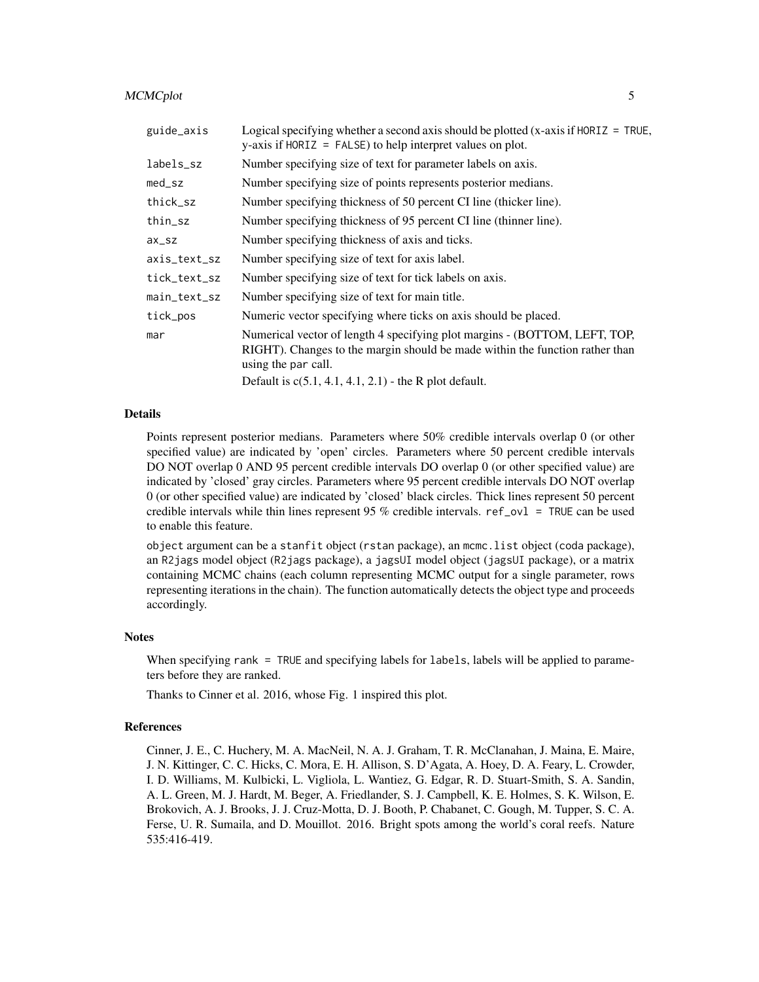#### MCMCplot 5

| guide_axis         | Logical specifying whether a second axis should be plotted $(x-axis if HORIZ = TRUE,$<br>$y$ -axis if HORIZ = FALSE) to help interpret values on plot.                                                                                        |
|--------------------|-----------------------------------------------------------------------------------------------------------------------------------------------------------------------------------------------------------------------------------------------|
| labels_sz          | Number specifying size of text for parameter labels on axis.                                                                                                                                                                                  |
| med_sz             | Number specifying size of points represents posterior medians.                                                                                                                                                                                |
| thick_sz           | Number specifying thickness of 50 percent CI line (thicker line).                                                                                                                                                                             |
| thin_sz            | Number specifying thickness of 95 percent CI line (thinner line).                                                                                                                                                                             |
| $ax$ <sub>sz</sub> | Number specifying thickness of axis and ticks.                                                                                                                                                                                                |
| axis_text_sz       | Number specifying size of text for axis label.                                                                                                                                                                                                |
| tick_text_sz       | Number specifying size of text for tick labels on axis.                                                                                                                                                                                       |
| main_text_sz       | Number specifying size of text for main title.                                                                                                                                                                                                |
| tick_pos           | Numeric vector specifying where ticks on axis should be placed.                                                                                                                                                                               |
| mar                | Numerical vector of length 4 specifying plot margins - (BOTTOM, LEFT, TOP,<br>RIGHT). Changes to the margin should be made within the function rather than<br>using the par call.<br>Default is $c(5.1, 4.1, 4.1, 2.1)$ - the R plot default. |
|                    |                                                                                                                                                                                                                                               |

#### Details

Points represent posterior medians. Parameters where 50% credible intervals overlap 0 (or other specified value) are indicated by 'open' circles. Parameters where 50 percent credible intervals DO NOT overlap 0 AND 95 percent credible intervals DO overlap 0 (or other specified value) are indicated by 'closed' gray circles. Parameters where 95 percent credible intervals DO NOT overlap 0 (or other specified value) are indicated by 'closed' black circles. Thick lines represent 50 percent credible intervals while thin lines represent 95 % credible intervals. ref\_ov1 = TRUE can be used to enable this feature.

object argument can be a stanfit object (rstan package), an mcmc.list object (coda package), an R2jags model object (R2jags package), a jagsUI model object (jagsUI package), or a matrix containing MCMC chains (each column representing MCMC output for a single parameter, rows representing iterations in the chain). The function automatically detects the object type and proceeds accordingly.

#### **Notes**

When specifying rank = TRUE and specifying labels for labels, labels will be applied to parameters before they are ranked.

Thanks to Cinner et al. 2016, whose Fig. 1 inspired this plot.

#### References

Cinner, J. E., C. Huchery, M. A. MacNeil, N. A. J. Graham, T. R. McClanahan, J. Maina, E. Maire, J. N. Kittinger, C. C. Hicks, C. Mora, E. H. Allison, S. D'Agata, A. Hoey, D. A. Feary, L. Crowder, I. D. Williams, M. Kulbicki, L. Vigliola, L. Wantiez, G. Edgar, R. D. Stuart-Smith, S. A. Sandin, A. L. Green, M. J. Hardt, M. Beger, A. Friedlander, S. J. Campbell, K. E. Holmes, S. K. Wilson, E. Brokovich, A. J. Brooks, J. J. Cruz-Motta, D. J. Booth, P. Chabanet, C. Gough, M. Tupper, S. C. A. Ferse, U. R. Sumaila, and D. Mouillot. 2016. Bright spots among the world's coral reefs. Nature 535:416-419.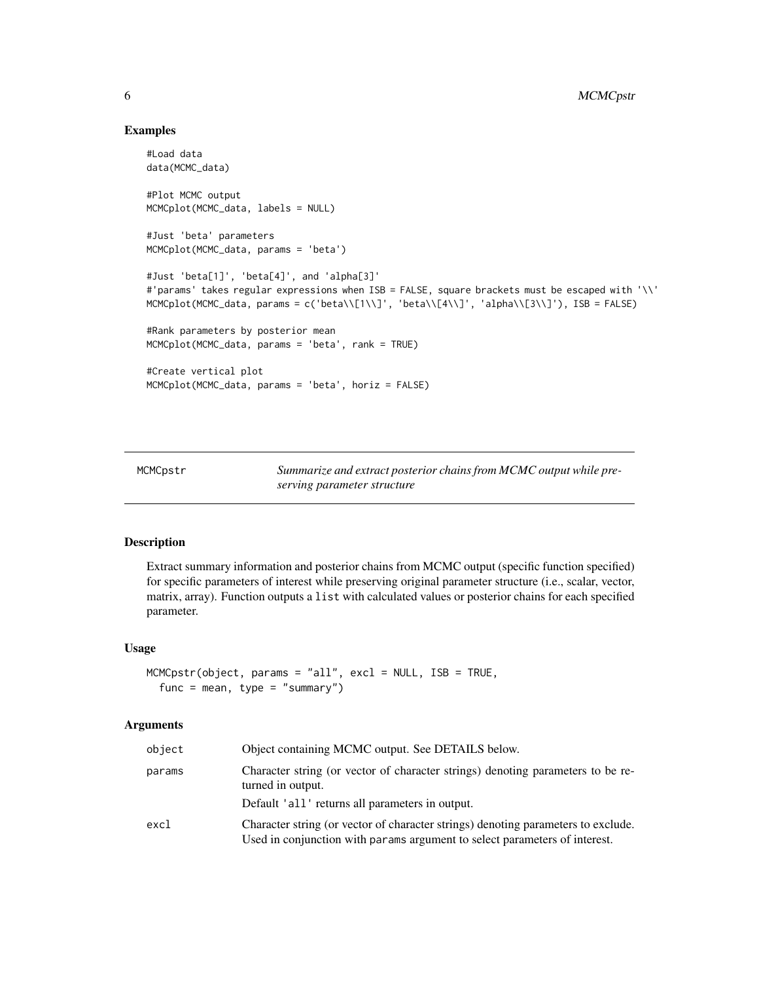#### Examples

```
#Load data
data(MCMC_data)
#Plot MCMC output
MCMCplot(MCMC_data, labels = NULL)
#Just 'beta' parameters
MCMCplot(MCMC_data, params = 'beta')
#Just 'beta[1]', 'beta[4]', and 'alpha[3]'
#'params' takes regular expressions when ISB = FALSE, square brackets must be escaped with '\\'
MCMCplot(MCMC_data,   <i>params = c('beta\\[1\\]'</i>,   <i>'beta\\\\[1\\]'</i>,   <i>'alpha\\[3\\]'</i>,   <i>ISB = FALSE)</i>#Rank parameters by posterior mean
MCMCplot(MCMC_data, params = 'beta', rank = TRUE)
#Create vertical plot
MCMCplot(MCMC_data, params = 'beta', horiz = FALSE)
```
MCMCpstr *Summarize and extract posterior chains from MCMC output while preserving parameter structure*

#### Description

Extract summary information and posterior chains from MCMC output (specific function specified) for specific parameters of interest while preserving original parameter structure (i.e., scalar, vector, matrix, array). Function outputs a list with calculated values or posterior chains for each specified parameter.

#### Usage

```
MCMCpstr(object, params = "all", excl = NULL, ISB = TRUE,
  func = mean, type = "summary")
```

| object | Object containing MCMC output. See DETAILS below.                                                                                                               |
|--------|-----------------------------------------------------------------------------------------------------------------------------------------------------------------|
| params | Character string (or vector of character strings) denoting parameters to be re-<br>turned in output.                                                            |
|        | Default 'all' returns all parameters in output.                                                                                                                 |
| excl   | Character string (or vector of character strings) denoting parameters to exclude.<br>Used in conjunction with params argument to select parameters of interest. |

<span id="page-5-0"></span>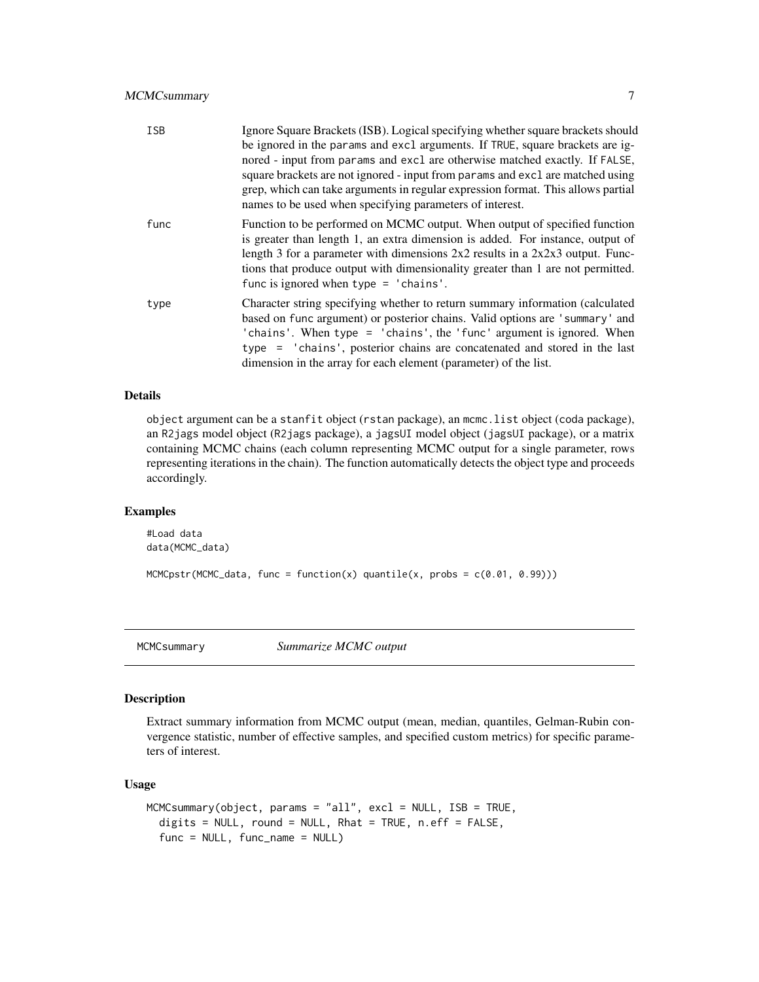<span id="page-6-0"></span>

| <b>ISB</b> | Ignore Square Brackets (ISB). Logical specifying whether square brackets should<br>be ignored in the params and excl arguments. If TRUE, square brackets are ig-<br>nored - input from params and excl are otherwise matched exactly. If FALSE,<br>square brackets are not ignored - input from params and excl are matched using<br>grep, which can take arguments in regular expression format. This allows partial<br>names to be used when specifying parameters of interest. |
|------------|-----------------------------------------------------------------------------------------------------------------------------------------------------------------------------------------------------------------------------------------------------------------------------------------------------------------------------------------------------------------------------------------------------------------------------------------------------------------------------------|
| func       | Function to be performed on MCMC output. When output of specified function<br>is greater than length 1, an extra dimension is added. For instance, output of<br>length 3 for a parameter with dimensions $2x2$ results in a $2x2x3$ output. Func-<br>tions that produce output with dimensionality greater than 1 are not permitted.<br>func is ignored when type $=$ 'chains'.                                                                                                   |
| type       | Character string specifying whether to return summary information (calculated<br>based on func argument) or posterior chains. Valid options are 'summary' and<br>'chains'. When type = 'chains', the 'func' argument is ignored. When<br>type = 'chains', posterior chains are concatenated and stored in the last<br>dimension in the array for each element (parameter) of the list.                                                                                            |

#### Details

object argument can be a stanfit object (rstan package), an mcmc.list object (coda package), an R2jags model object (R2jags package), a jagsUI model object (jagsUI package), or a matrix containing MCMC chains (each column representing MCMC output for a single parameter, rows representing iterations in the chain). The function automatically detects the object type and proceeds accordingly.

#### Examples

```
#Load data
data(MCMC_data)
```
 $MCMCpstr(MCMC_data, func = function(x) quantile(x, probes = c(0.01, 0.99)))$ 

MCMCsummary *Summarize MCMC output*

#### Description

Extract summary information from MCMC output (mean, median, quantiles, Gelman-Rubin convergence statistic, number of effective samples, and specified custom metrics) for specific parameters of interest.

#### Usage

```
MCMCsummary(object, params = "all", excl = NULL, ISB = TRUE,
  digits = NULL, round = NULL, Rhat = TRUE, n.eff = FALSE,
  func = NULL, func_name = NULL)
```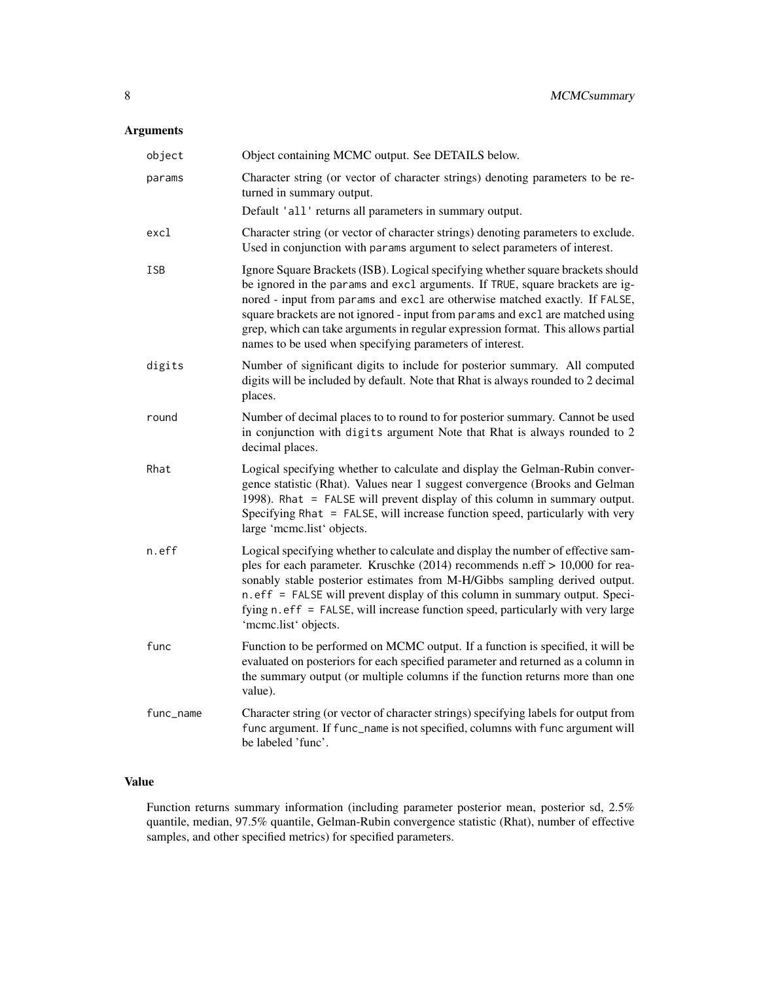#### Arguments

| object    | Object containing MCMC output. See DETAILS below.                                                                                                                                                                                                                                                                                                                                                                                                                                 |
|-----------|-----------------------------------------------------------------------------------------------------------------------------------------------------------------------------------------------------------------------------------------------------------------------------------------------------------------------------------------------------------------------------------------------------------------------------------------------------------------------------------|
| params    | Character string (or vector of character strings) denoting parameters to be re-<br>turned in summary output.                                                                                                                                                                                                                                                                                                                                                                      |
|           | Default 'all' returns all parameters in summary output.                                                                                                                                                                                                                                                                                                                                                                                                                           |
| excl      | Character string (or vector of character strings) denoting parameters to exclude.<br>Used in conjunction with params argument to select parameters of interest.                                                                                                                                                                                                                                                                                                                   |
| ISB       | Ignore Square Brackets (ISB). Logical specifying whether square brackets should<br>be ignored in the params and excl arguments. If TRUE, square brackets are ig-<br>nored - input from params and excl are otherwise matched exactly. If FALSE,<br>square brackets are not ignored - input from params and excl are matched using<br>grep, which can take arguments in regular expression format. This allows partial<br>names to be used when specifying parameters of interest. |
| digits    | Number of significant digits to include for posterior summary. All computed<br>digits will be included by default. Note that Rhat is always rounded to 2 decimal<br>places.                                                                                                                                                                                                                                                                                                       |
| round     | Number of decimal places to to round to for posterior summary. Cannot be used<br>in conjunction with digits argument Note that Rhat is always rounded to 2<br>decimal places.                                                                                                                                                                                                                                                                                                     |
| Rhat      | Logical specifying whether to calculate and display the Gelman-Rubin conver-<br>gence statistic (Rhat). Values near 1 suggest convergence (Brooks and Gelman<br>1998). Rhat = FALSE will prevent display of this column in summary output.<br>Specifying Rhat = FALSE, will increase function speed, particularly with very<br>large 'mcmc.list' objects.                                                                                                                         |
| n.eff     | Logical specifying whether to calculate and display the number of effective sam-<br>ples for each parameter. Kruschke $(2014)$ recommends n.eff $> 10,000$ for rea-<br>sonably stable posterior estimates from M-H/Gibbs sampling derived output.<br>n.eff = FALSE will prevent display of this column in summary output. Speci-<br>fying n. eff = FALSE, will increase function speed, particularly with very large<br>'mcmc.list' objects.                                      |
| func      | Function to be performed on MCMC output. If a function is specified, it will be<br>evaluated on posteriors for each specified parameter and returned as a column in<br>the summary output (or multiple columns if the function returns more than one<br>value).                                                                                                                                                                                                                   |
| func_name | Character string (or vector of character strings) specifying labels for output from<br>func argument. If func_name is not specified, columns with func argument will<br>be labeled 'func'.                                                                                                                                                                                                                                                                                        |

#### Value

Function returns summary information (including parameter posterior mean, posterior sd, 2.5% quantile, median, 97.5% quantile, Gelman-Rubin convergence statistic (Rhat), number of effective samples, and other specified metrics) for specified parameters.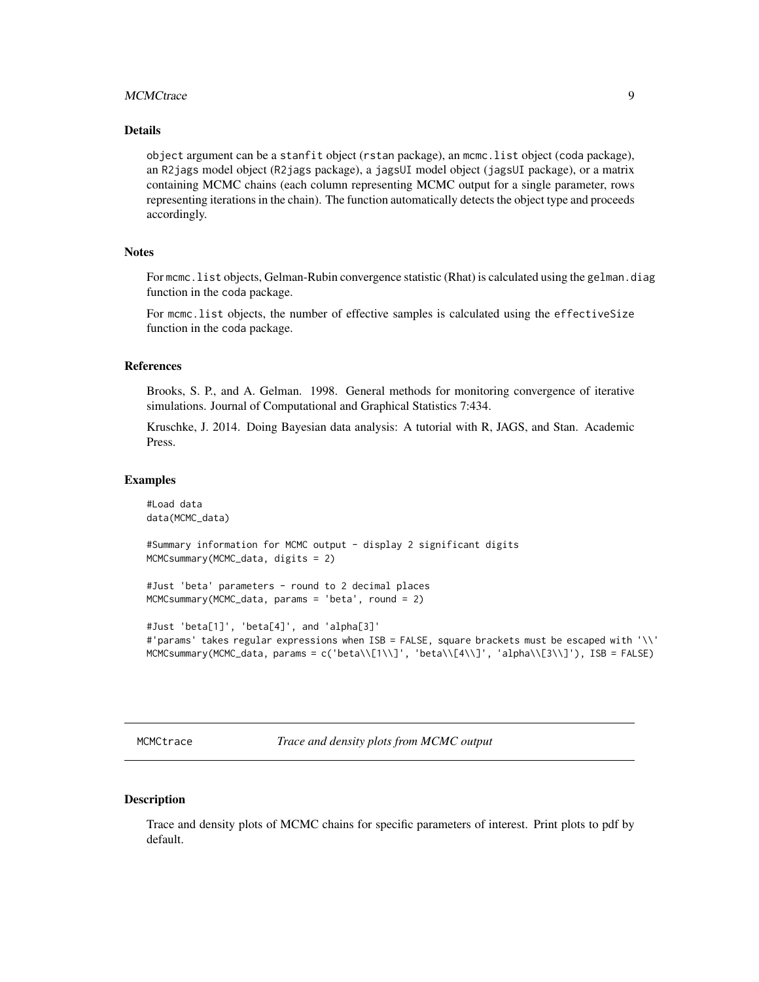#### <span id="page-8-0"></span>MCMCtrace 9

#### Details

object argument can be a stanfit object (rstan package), an mcmc.list object (coda package), an R2jags model object (R2jags package), a jagsUI model object (jagsUI package), or a matrix containing MCMC chains (each column representing MCMC output for a single parameter, rows representing iterations in the chain). The function automatically detects the object type and proceeds accordingly.

#### **Notes**

For mcmc. list objects, Gelman-Rubin convergence statistic (Rhat) is calculated using the gelman.diag function in the coda package.

For mcmc.list objects, the number of effective samples is calculated using the effectiveSize function in the coda package.

#### References

Brooks, S. P., and A. Gelman. 1998. General methods for monitoring convergence of iterative simulations. Journal of Computational and Graphical Statistics 7:434.

Kruschke, J. 2014. Doing Bayesian data analysis: A tutorial with R, JAGS, and Stan. Academic Press.

#### Examples

```
#Load data
data(MCMC_data)
#Summary information for MCMC output - display 2 significant digits
MCMCsummary(MCMC_data, digits = 2)
#Just 'beta' parameters - round to 2 decimal places
MCMCsummary(MCMC_data, params = 'beta', round = 2)
#Just 'beta[1]', 'beta[4]', and 'alpha[3]'
#'params' takes regular expressions when ISB = FALSE, square brackets must be escaped with '\\'
MCMCsummary(MCMC_data, params = c('beta\\[1\\]', 'beta\\[4\\]', 'alpha\\[3\\]'), ISB = FALSE)
```
MCMCtrace *Trace and density plots from MCMC output*

#### **Description**

Trace and density plots of MCMC chains for specific parameters of interest. Print plots to pdf by default.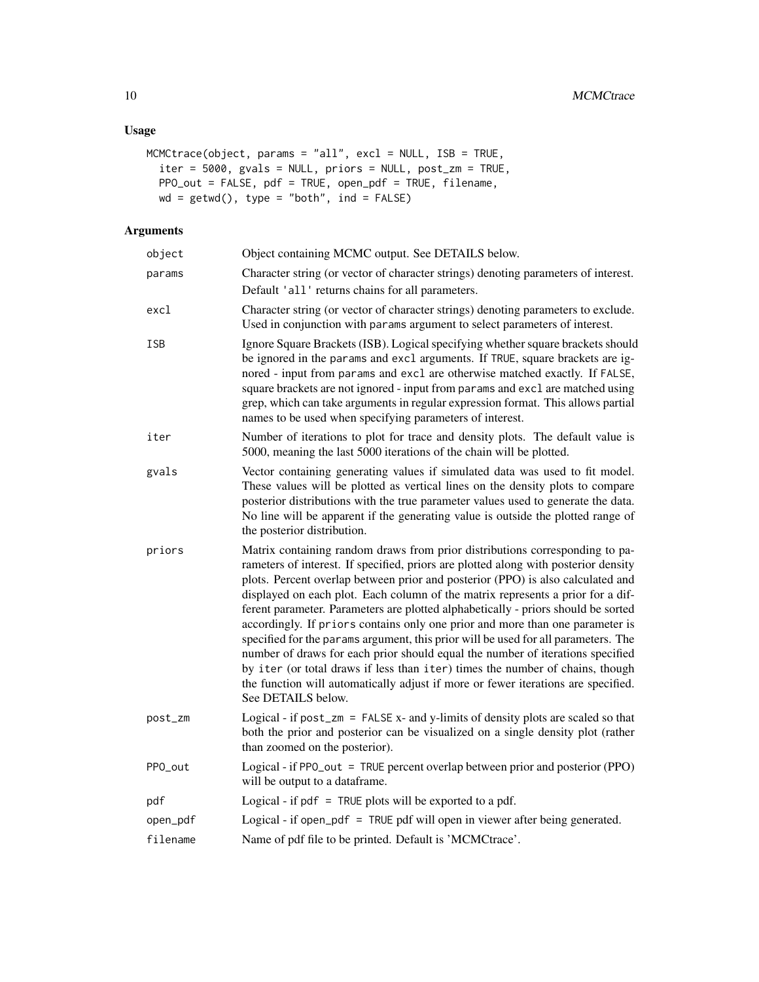#### Usage

```
MCMCtrace(object, params = "all", excl = NULL, ISB = TRUE,
 iter = 5000, gvals = NULL, priors = NULL, post_zm = TRUE,
 PPO_out = FALSE, pdf = TRUE, open_pdf = TRUE, filename,
 wd = getwd(), type = "both", ind = FALSE)
```

| object   | Object containing MCMC output. See DETAILS below.                                                                                                                                                                                                                                                                                                                                                                                                                                                                                                                                                                                                                                                                                                                                                                                                                                   |
|----------|-------------------------------------------------------------------------------------------------------------------------------------------------------------------------------------------------------------------------------------------------------------------------------------------------------------------------------------------------------------------------------------------------------------------------------------------------------------------------------------------------------------------------------------------------------------------------------------------------------------------------------------------------------------------------------------------------------------------------------------------------------------------------------------------------------------------------------------------------------------------------------------|
| params   | Character string (or vector of character strings) denoting parameters of interest.<br>Default 'all' returns chains for all parameters.                                                                                                                                                                                                                                                                                                                                                                                                                                                                                                                                                                                                                                                                                                                                              |
| excl     | Character string (or vector of character strings) denoting parameters to exclude.<br>Used in conjunction with params argument to select parameters of interest.                                                                                                                                                                                                                                                                                                                                                                                                                                                                                                                                                                                                                                                                                                                     |
| ISB      | Ignore Square Brackets (ISB). Logical specifying whether square brackets should<br>be ignored in the params and excl arguments. If TRUE, square brackets are ig-<br>nored - input from params and excl are otherwise matched exactly. If FALSE,<br>square brackets are not ignored - input from params and excl are matched using<br>grep, which can take arguments in regular expression format. This allows partial<br>names to be used when specifying parameters of interest.                                                                                                                                                                                                                                                                                                                                                                                                   |
| iter     | Number of iterations to plot for trace and density plots. The default value is<br>5000, meaning the last 5000 iterations of the chain will be plotted.                                                                                                                                                                                                                                                                                                                                                                                                                                                                                                                                                                                                                                                                                                                              |
| gvals    | Vector containing generating values if simulated data was used to fit model.<br>These values will be plotted as vertical lines on the density plots to compare<br>posterior distributions with the true parameter values used to generate the data.<br>No line will be apparent if the generating value is outside the plotted range of<br>the posterior distribution.                                                                                                                                                                                                                                                                                                                                                                                                                                                                                                              |
| priors   | Matrix containing random draws from prior distributions corresponding to pa-<br>rameters of interest. If specified, priors are plotted along with posterior density<br>plots. Percent overlap between prior and posterior (PPO) is also calculated and<br>displayed on each plot. Each column of the matrix represents a prior for a dif-<br>ferent parameter. Parameters are plotted alphabetically - priors should be sorted<br>accordingly. If priors contains only one prior and more than one parameter is<br>specified for the params argument, this prior will be used for all parameters. The<br>number of draws for each prior should equal the number of iterations specified<br>by iter (or total draws if less than iter) times the number of chains, though<br>the function will automatically adjust if more or fewer iterations are specified.<br>See DETAILS below. |
| post_zm  | Logical - if $post\_zm = FALSE x$ - and y-limits of density plots are scaled so that<br>both the prior and posterior can be visualized on a single density plot (rather<br>than zoomed on the posterior).                                                                                                                                                                                                                                                                                                                                                                                                                                                                                                                                                                                                                                                                           |
| PPO_out  | Logical - if PPO_out = TRUE percent overlap between prior and posterior (PPO)<br>will be output to a dataframe.                                                                                                                                                                                                                                                                                                                                                                                                                                                                                                                                                                                                                                                                                                                                                                     |
| pdf      | Logical - if $pdf = TRUE$ plots will be exported to a pdf.                                                                                                                                                                                                                                                                                                                                                                                                                                                                                                                                                                                                                                                                                                                                                                                                                          |
| open_pdf | Logical - if open_pdf = TRUE pdf will open in viewer after being generated.                                                                                                                                                                                                                                                                                                                                                                                                                                                                                                                                                                                                                                                                                                                                                                                                         |
| filename | Name of pdf file to be printed. Default is 'MCMCtrace'.                                                                                                                                                                                                                                                                                                                                                                                                                                                                                                                                                                                                                                                                                                                                                                                                                             |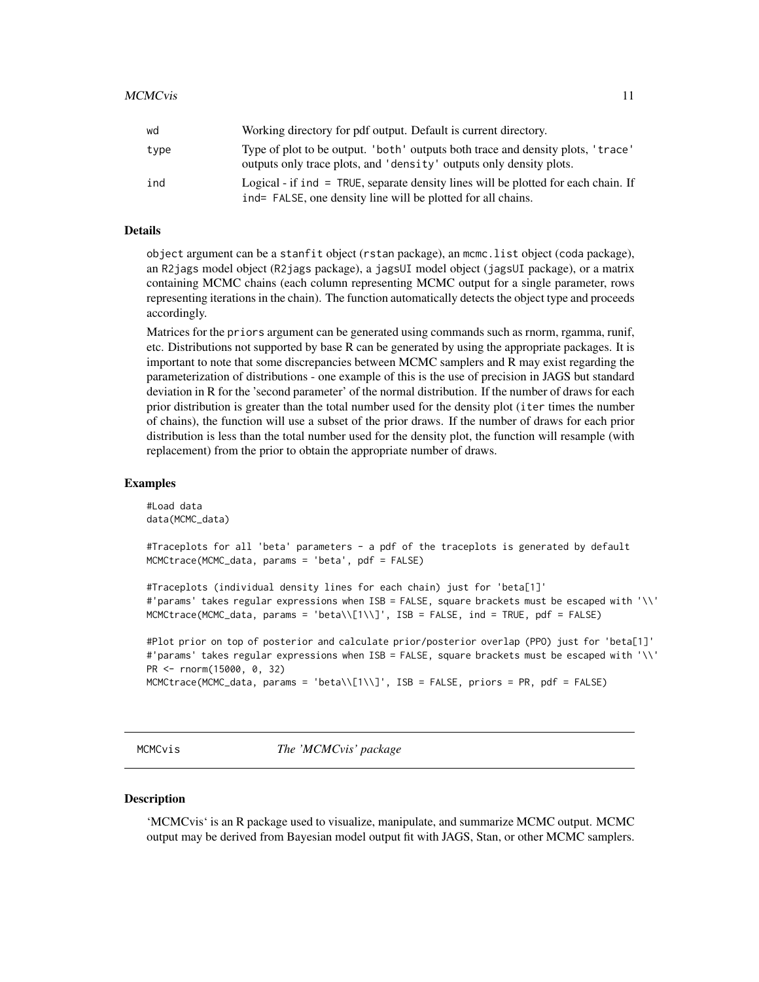<span id="page-10-0"></span>

| wd   | Working directory for pdf output. Default is current directory.                                                                                        |
|------|--------------------------------------------------------------------------------------------------------------------------------------------------------|
| type | Type of plot to be output. 'both' outputs both trace and density plots, 'trace'<br>outputs only trace plots, and 'density' outputs only density plots. |
| ind  | Logical - if ind = TRUE, separate density lines will be plotted for each chain. If<br>ind= FALSE, one density line will be plotted for all chains.     |

#### Details

object argument can be a stanfit object (rstan package), an mcmc.list object (coda package), an R2jags model object (R2jags package), a jagsUI model object (jagsUI package), or a matrix containing MCMC chains (each column representing MCMC output for a single parameter, rows representing iterations in the chain). The function automatically detects the object type and proceeds accordingly.

Matrices for the priors argument can be generated using commands such as rnorm, rgamma, runif, etc. Distributions not supported by base R can be generated by using the appropriate packages. It is important to note that some discrepancies between MCMC samplers and R may exist regarding the parameterization of distributions - one example of this is the use of precision in JAGS but standard deviation in R for the 'second parameter' of the normal distribution. If the number of draws for each prior distribution is greater than the total number used for the density plot (iter times the number of chains), the function will use a subset of the prior draws. If the number of draws for each prior distribution is less than the total number used for the density plot, the function will resample (with replacement) from the prior to obtain the appropriate number of draws.

#### Examples

```
#Load data
data(MCMC_data)
```
#Traceplots for all 'beta' parameters - a pdf of the traceplots is generated by default MCMCtrace(MCMC\_data, params = 'beta', pdf = FALSE)

```
#Traceplots (individual density lines for each chain) just for 'beta[1]'
#'params' takes regular expressions when ISB = FALSE, square brackets must be escaped with '\\'
MCMCtrace(MCMC_data, params = 'beta\\[1\\]', ISB = FALSE, ind = TRUE, pdf = FALSE)
```
#Plot prior on top of posterior and calculate prior/posterior overlap (PPO) just for 'beta[1]' #'params' takes regular expressions when ISB = FALSE, square brackets must be escaped with '\\' PR <- rnorm(15000, 0, 32) MCMCtrace(MCMC\_data, params = 'beta\\[1\\]', ISB = FALSE, priors = PR, pdf = FALSE)

MCMCvis *The 'MCMCvis' package*

#### **Description**

'MCMCvis' is an R package used to visualize, manipulate, and summarize MCMC output. MCMC output may be derived from Bayesian model output fit with JAGS, Stan, or other MCMC samplers.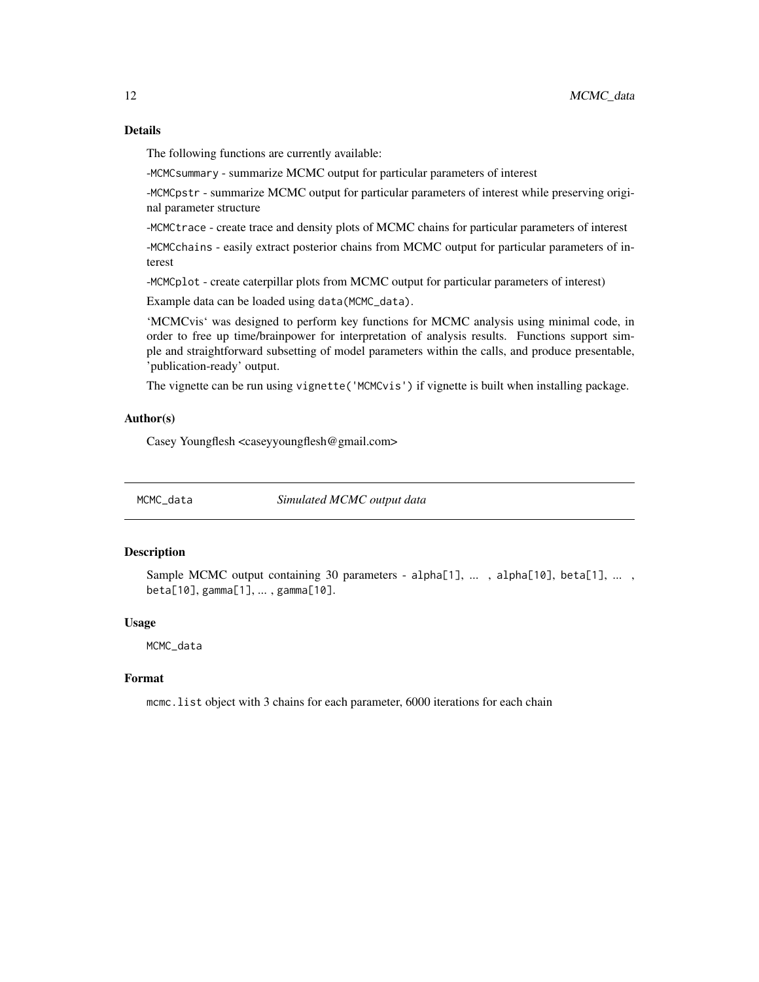#### <span id="page-11-0"></span>Details

The following functions are currently available:

-MCMCsummary - summarize MCMC output for particular parameters of interest

-MCMCpstr - summarize MCMC output for particular parameters of interest while preserving original parameter structure

-MCMCtrace - create trace and density plots of MCMC chains for particular parameters of interest

-MCMCchains - easily extract posterior chains from MCMC output for particular parameters of interest

-MCMCplot - create caterpillar plots from MCMC output for particular parameters of interest)

Example data can be loaded using data(MCMC\_data).

'MCMCvis' was designed to perform key functions for MCMC analysis using minimal code, in order to free up time/brainpower for interpretation of analysis results. Functions support simple and straightforward subsetting of model parameters within the calls, and produce presentable, 'publication-ready' output.

The vignette can be run using vignette('MCMCvis') if vignette is built when installing package.

#### Author(s)

Casey Youngflesh <caseyyoungflesh@gmail.com>

MCMC\_data *Simulated MCMC output data*

#### Description

Sample MCMC output containing 30 parameters - alpha[1], ..., alpha[10], beta[1], ..., beta[10], gamma[1], ... , gamma[10].

#### Usage

MCMC\_data

#### Format

mcmc.list object with 3 chains for each parameter, 6000 iterations for each chain